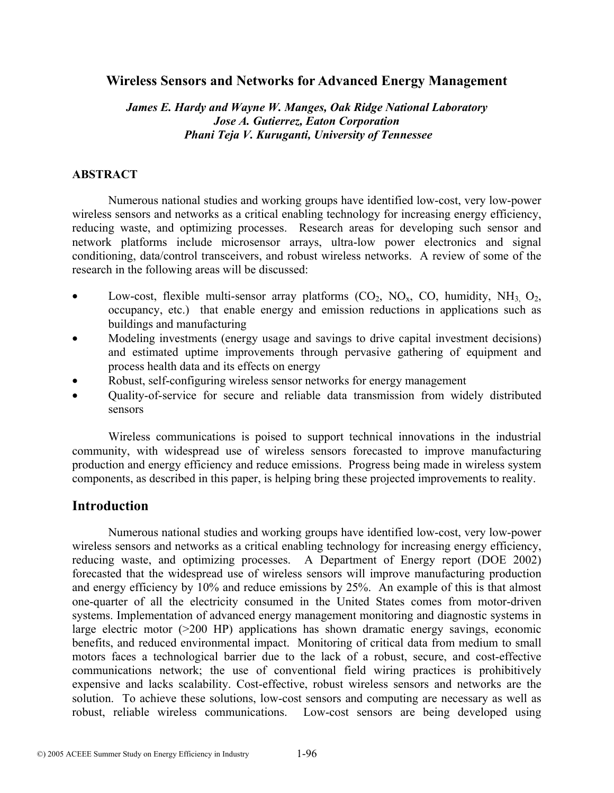## **Wireless Sensors and Networks for Advanced Energy Management**

## *James E. Hardy and Wayne W. Manges, Oak Ridge National Laboratory Jose A. Gutierrez, Eaton Corporation Phani Teja V. Kuruganti, University of Tennessee*

### **ABSTRACT**

Numerous national studies and working groups have identified low-cost, very low-power wireless sensors and networks as a critical enabling technology for increasing energy efficiency, reducing waste, and optimizing processes. Research areas for developing such sensor and network platforms include microsensor arrays, ultra-low power electronics and signal conditioning, data/control transceivers, and robust wireless networks. A review of some of the research in the following areas will be discussed:

- Low-cost, flexible multi-sensor array platforms  $(CO_2, NO_x, CO$ , humidity,  $NH_3$ ,  $O_2$ , occupancy, etc.) that enable energy and emission reductions in applications such as buildings and manufacturing
- Modeling investments (energy usage and savings to drive capital investment decisions) and estimated uptime improvements through pervasive gathering of equipment and process health data and its effects on energy
- Robust, self-configuring wireless sensor networks for energy management
- Quality-of-service for secure and reliable data transmission from widely distributed sensors

Wireless communications is poised to support technical innovations in the industrial community, with widespread use of wireless sensors forecasted to improve manufacturing production and energy efficiency and reduce emissions. Progress being made in wireless system components, as described in this paper, is helping bring these projected improvements to reality.

## **Introduction**

Numerous national studies and working groups have identified low-cost, very low-power wireless sensors and networks as a critical enabling technology for increasing energy efficiency, reducing waste, and optimizing processes. A Department of Energy report (DOE 2002) forecasted that the widespread use of wireless sensors will improve manufacturing production and energy efficiency by 10% and reduce emissions by 25%. An example of this is that almost one-quarter of all the electricity consumed in the United States comes from motor-driven systems. Implementation of advanced energy management monitoring and diagnostic systems in large electric motor (>200 HP) applications has shown dramatic energy savings, economic benefits, and reduced environmental impact. Monitoring of critical data from medium to small motors faces a technological barrier due to the lack of a robust, secure, and cost-effective communications network; the use of conventional field wiring practices is prohibitively expensive and lacks scalability. Cost-effective, robust wireless sensors and networks are the solution. To achieve these solutions, low-cost sensors and computing are necessary as well as robust, reliable wireless communications. Low-cost sensors are being developed using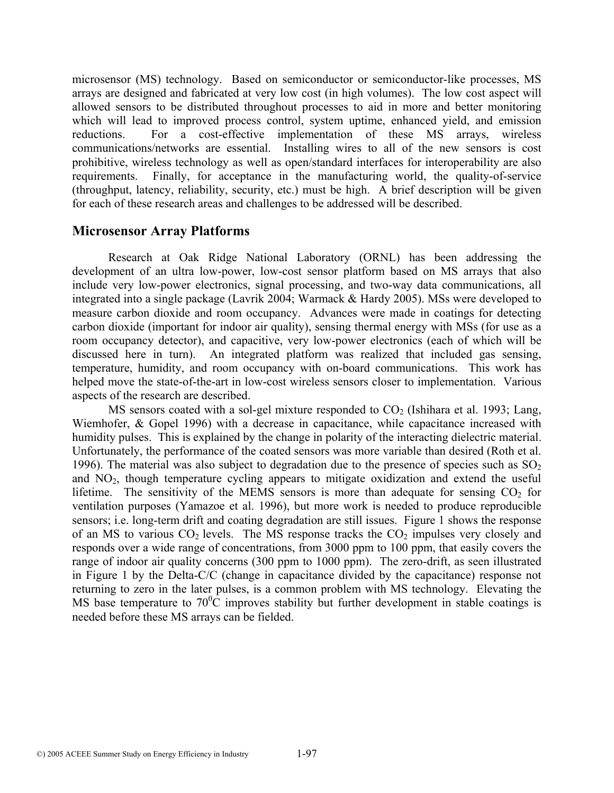microsensor (MS) technology. Based on semiconductor or semiconductor-like processes, MS arrays are designed and fabricated at very low cost (in high volumes). The low cost aspect will allowed sensors to be distributed throughout processes to aid in more and better monitoring which will lead to improved process control, system uptime, enhanced yield, and emission reductions. For a cost-effective implementation of these MS arrays, wireless communications/networks are essential. Installing wires to all of the new sensors is cost prohibitive, wireless technology as well as open/standard interfaces for interoperability are also requirements. Finally, for acceptance in the manufacturing world, the quality-of-service (throughput, latency, reliability, security, etc.) must be high. A brief description will be given for each of these research areas and challenges to be addressed will be described.

## **Microsensor Array Platforms**

Research at Oak Ridge National Laboratory (ORNL) has been addressing the development of an ultra low-power, low-cost sensor platform based on MS arrays that also include very low-power electronics, signal processing, and two-way data communications, all integrated into a single package (Lavrik 2004; Warmack & Hardy 2005). MSs were developed to measure carbon dioxide and room occupancy. Advances were made in coatings for detecting carbon dioxide (important for indoor air quality), sensing thermal energy with MSs (for use as a room occupancy detector), and capacitive, very low-power electronics (each of which will be discussed here in turn). An integrated platform was realized that included gas sensing, temperature, humidity, and room occupancy with on-board communications. This work has helped move the state-of-the-art in low-cost wireless sensors closer to implementation. Various aspects of the research are described.

MS sensors coated with a sol-gel mixture responded to  $CO<sub>2</sub>$  (Ishihara et al. 1993; Lang, Wiemhofer, & Gopel 1996) with a decrease in capacitance, while capacitance increased with humidity pulses. This is explained by the change in polarity of the interacting dielectric material. Unfortunately, the performance of the coated sensors was more variable than desired (Roth et al. 1996). The material was also subject to degradation due to the presence of species such as  $SO<sub>2</sub>$ and NO2, though temperature cycling appears to mitigate oxidization and extend the useful lifetime. The sensitivity of the MEMS sensors is more than adequate for sensing  $CO<sub>2</sub>$  for ventilation purposes (Yamazoe et al. 1996), but more work is needed to produce reproducible sensors; i.e. long-term drift and coating degradation are still issues. Figure 1 shows the response of an MS to various  $CO<sub>2</sub>$  levels. The MS response tracks the  $CO<sub>2</sub>$  impulses very closely and responds over a wide range of concentrations, from 3000 ppm to 100 ppm, that easily covers the range of indoor air quality concerns (300 ppm to 1000 ppm). The zero-drift, as seen illustrated in Figure 1 by the Delta-C/C (change in capacitance divided by the capacitance) response not returning to zero in the later pulses, is a common problem with MS technology. Elevating the MS base temperature to  $70^{\circ}$ C improves stability but further development in stable coatings is needed before these MS arrays can be fielded.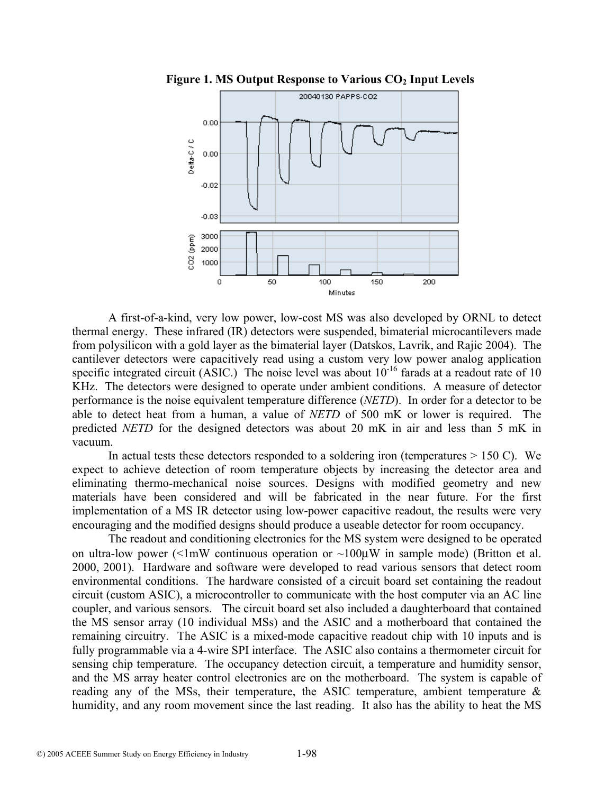

**Figure 1. MS Output Response to Various CO<sub>2</sub> Input Levels** 

A first-of-a-kind, very low power, low-cost MS was also developed by ORNL to detect thermal energy. These infrared (IR) detectors were suspended, bimaterial microcantilevers made from polysilicon with a gold layer as the bimaterial layer (Datskos, Lavrik, and Rajic 2004). The cantilever detectors were capacitively read using a custom very low power analog application specific integrated circuit (ASIC.) The noise level was about  $10^{-16}$  farads at a readout rate of 10 KHz. The detectors were designed to operate under ambient conditions. A measure of detector performance is the noise equivalent temperature difference (*NETD*). In order for a detector to be able to detect heat from a human, a value of *NETD* of 500 mK or lower is required. The predicted *NETD* for the designed detectors was about 20 mK in air and less than 5 mK in vacuum.

In actual tests these detectors responded to a soldering iron (temperatures  $> 150$  C). We expect to achieve detection of room temperature objects by increasing the detector area and eliminating thermo-mechanical noise sources. Designs with modified geometry and new materials have been considered and will be fabricated in the near future. For the first implementation of a MS IR detector using low-power capacitive readout, the results were very encouraging and the modified designs should produce a useable detector for room occupancy.

The readout and conditioning electronics for the MS system were designed to be operated on ultra-low power ( $\leq 1$ mW continuous operation or  $\sim 100 \mu$ W in sample mode) (Britton et al. 2000, 2001). Hardware and software were developed to read various sensors that detect room environmental conditions. The hardware consisted of a circuit board set containing the readout circuit (custom ASIC), a microcontroller to communicate with the host computer via an AC line coupler, and various sensors. The circuit board set also included a daughterboard that contained the MS sensor array (10 individual MSs) and the ASIC and a motherboard that contained the remaining circuitry. The ASIC is a mixed-mode capacitive readout chip with 10 inputs and is fully programmable via a 4-wire SPI interface. The ASIC also contains a thermometer circuit for sensing chip temperature. The occupancy detection circuit, a temperature and humidity sensor, and the MS array heater control electronics are on the motherboard. The system is capable of reading any of the MSs, their temperature, the ASIC temperature, ambient temperature & humidity, and any room movement since the last reading. It also has the ability to heat the MS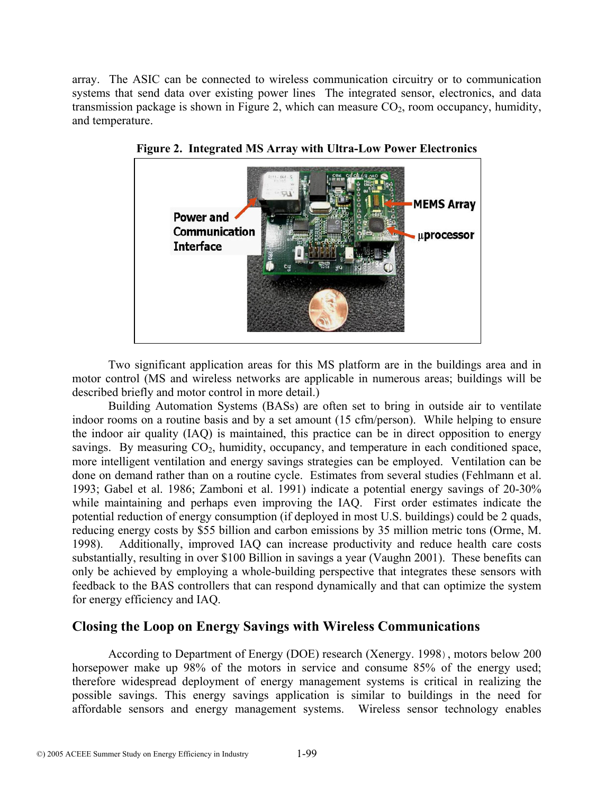array. The ASIC can be connected to wireless communication circuitry or to communication systems that send data over existing power lines The integrated sensor, electronics, and data transmission package is shown in Figure 2, which can measure  $CO<sub>2</sub>$ , room occupancy, humidity, and temperature.



**Figure 2. Integrated MS Array with Ultra-Low Power Electronics** 

Two significant application areas for this MS platform are in the buildings area and in motor control (MS and wireless networks are applicable in numerous areas; buildings will be described briefly and motor control in more detail.)

Building Automation Systems (BASs) are often set to bring in outside air to ventilate indoor rooms on a routine basis and by a set amount (15 cfm/person). While helping to ensure the indoor air quality (IAQ) is maintained, this practice can be in direct opposition to energy savings. By measuring  $CO<sub>2</sub>$ , humidity, occupancy, and temperature in each conditioned space, more intelligent ventilation and energy savings strategies can be employed. Ventilation can be done on demand rather than on a routine cycle. Estimates from several studies (Fehlmann et al. 1993; Gabel et al. 1986; Zamboni et al. 1991) indicate a potential energy savings of 20-30% while maintaining and perhaps even improving the IAQ. First order estimates indicate the potential reduction of energy consumption (if deployed in most U.S. buildings) could be 2 quads, reducing energy costs by \$55 billion and carbon emissions by 35 million metric tons (Orme, M. 1998). Additionally, improved IAQ can increase productivity and reduce health care costs substantially, resulting in over \$100 Billion in savings a year (Vaughn 2001). These benefits can only be achieved by employing a whole-building perspective that integrates these sensors with feedback to the BAS controllers that can respond dynamically and that can optimize the system for energy efficiency and IAQ.

## **Closing the Loop on Energy Savings with Wireless Communications**

According to Department of Energy (DOE) research (Xenergy. 1998), motors below 200 horsepower make up 98% of the motors in service and consume 85% of the energy used; therefore widespread deployment of energy management systems is critical in realizing the possible savings. This energy savings application is similar to buildings in the need for affordable sensors and energy management systems. Wireless sensor technology enables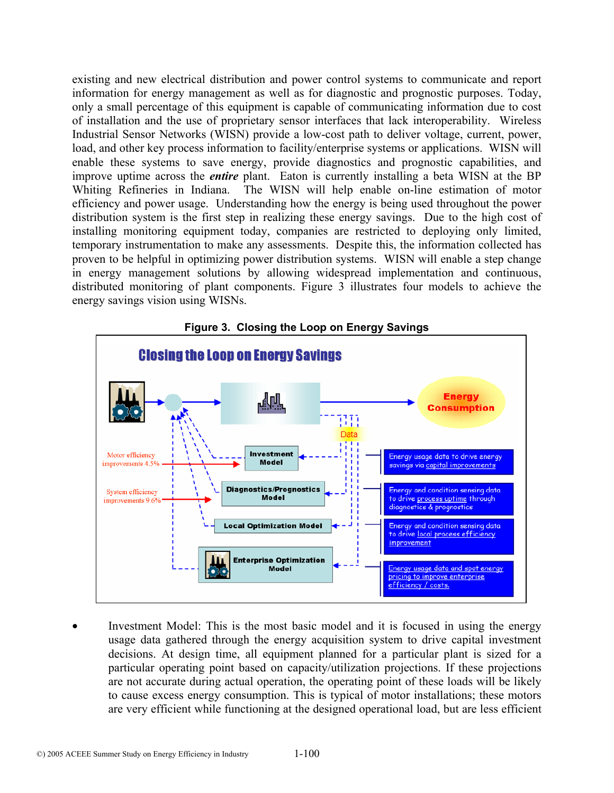existing and new electrical distribution and power control systems to communicate and report information for energy management as well as for diagnostic and prognostic purposes. Today, only a small percentage of this equipment is capable of communicating information due to cost of installation and the use of proprietary sensor interfaces that lack interoperability. Wireless Industrial Sensor Networks (WISN) provide a low-cost path to deliver voltage, current, power, load, and other key process information to facility/enterprise systems or applications. WISN will enable these systems to save energy, provide diagnostics and prognostic capabilities, and improve uptime across the *entire* plant. Eaton is currently installing a beta WISN at the BP Whiting Refineries in Indiana. The WISN will help enable on-line estimation of motor efficiency and power usage. Understanding how the energy is being used throughout the power distribution system is the first step in realizing these energy savings. Due to the high cost of installing monitoring equipment today, companies are restricted to deploying only limited, temporary instrumentation to make any assessments. Despite this, the information collected has proven to be helpful in optimizing power distribution systems. WISN will enable a step change in energy management solutions by allowing widespread implementation and continuous, distributed monitoring of plant components. Figure 3 illustrates four models to achieve the energy savings vision using WISNs.





Investment Model: This is the most basic model and it is focused in using the energy usage data gathered through the energy acquisition system to drive capital investment decisions. At design time, all equipment planned for a particular plant is sized for a particular operating point based on capacity/utilization projections. If these projections are not accurate during actual operation, the operating point of these loads will be likely to cause excess energy consumption. This is typical of motor installations; these motors are very efficient while functioning at the designed operational load, but are less efficient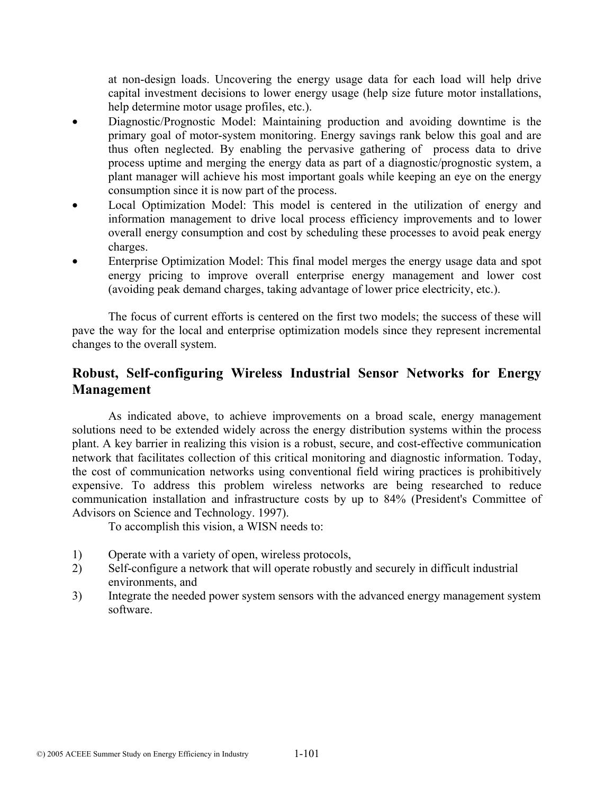at non-design loads. Uncovering the energy usage data for each load will help drive capital investment decisions to lower energy usage (help size future motor installations, help determine motor usage profiles, etc.).

- Diagnostic/Prognostic Model: Maintaining production and avoiding downtime is the primary goal of motor-system monitoring. Energy savings rank below this goal and are thus often neglected. By enabling the pervasive gathering of process data to drive process uptime and merging the energy data as part of a diagnostic/prognostic system, a plant manager will achieve his most important goals while keeping an eye on the energy consumption since it is now part of the process.
- Local Optimization Model: This model is centered in the utilization of energy and information management to drive local process efficiency improvements and to lower overall energy consumption and cost by scheduling these processes to avoid peak energy charges.
- Enterprise Optimization Model: This final model merges the energy usage data and spot energy pricing to improve overall enterprise energy management and lower cost (avoiding peak demand charges, taking advantage of lower price electricity, etc.).

The focus of current efforts is centered on the first two models; the success of these will pave the way for the local and enterprise optimization models since they represent incremental changes to the overall system.

# **Robust, Self-configuring Wireless Industrial Sensor Networks for Energy Management**

As indicated above, to achieve improvements on a broad scale, energy management solutions need to be extended widely across the energy distribution systems within the process plant. A key barrier in realizing this vision is a robust, secure, and cost-effective communication network that facilitates collection of this critical monitoring and diagnostic information. Today, the cost of communication networks using conventional field wiring practices is prohibitively expensive. To address this problem wireless networks are being researched to reduce communication installation and infrastructure costs by up to 84% (President's Committee of Advisors on Science and Technology. 1997).

To accomplish this vision, a WISN needs to:

- 1) Operate with a variety of open, wireless protocols,
- 2) Self-configure a network that will operate robustly and securely in difficult industrial environments, and
- 3) Integrate the needed power system sensors with the advanced energy management system software.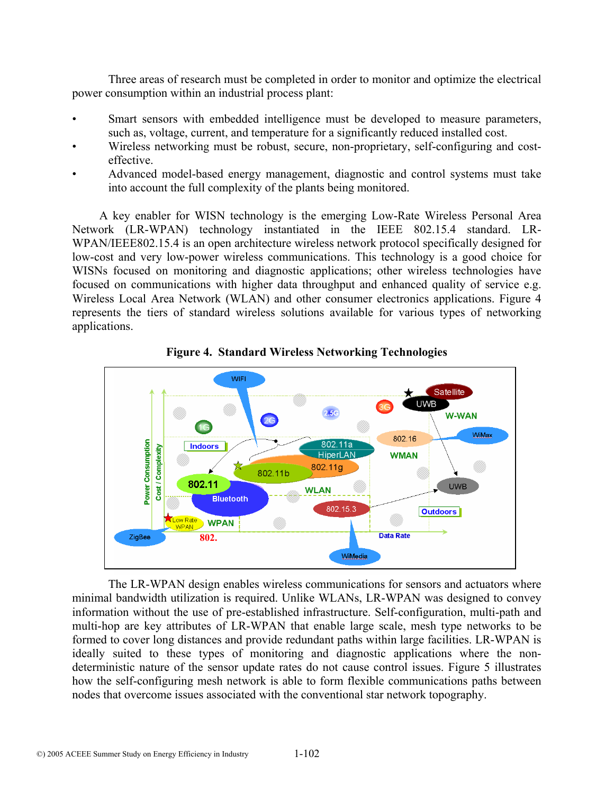Three areas of research must be completed in order to monitor and optimize the electrical power consumption within an industrial process plant:

- Smart sensors with embedded intelligence must be developed to measure parameters, such as, voltage, current, and temperature for a significantly reduced installed cost.
- Wireless networking must be robust, secure, non-proprietary, self-configuring and costeffective.
- Advanced model-based energy management, diagnostic and control systems must take into account the full complexity of the plants being monitored.

A key enabler for WISN technology is the emerging Low-Rate Wireless Personal Area Network (LR-WPAN) technology instantiated in the IEEE 802.15.4 standard. LR-WPAN/IEEE802.15.4 is an open architecture wireless network protocol specifically designed for low-cost and very low-power wireless communications. This technology is a good choice for WISNs focused on monitoring and diagnostic applications; other wireless technologies have focused on communications with higher data throughput and enhanced quality of service e.g. Wireless Local Area Network (WLAN) and other consumer electronics applications. Figure 4 represents the tiers of standard wireless solutions available for various types of networking applications.





The LR-WPAN design enables wireless communications for sensors and actuators where minimal bandwidth utilization is required. Unlike WLANs, LR-WPAN was designed to convey information without the use of pre-established infrastructure. Self-configuration, multi-path and multi-hop are key attributes of LR-WPAN that enable large scale, mesh type networks to be formed to cover long distances and provide redundant paths within large facilities. LR-WPAN is ideally suited to these types of monitoring and diagnostic applications where the nondeterministic nature of the sensor update rates do not cause control issues. Figure 5 illustrates how the self-configuring mesh network is able to form flexible communications paths between nodes that overcome issues associated with the conventional star network topography.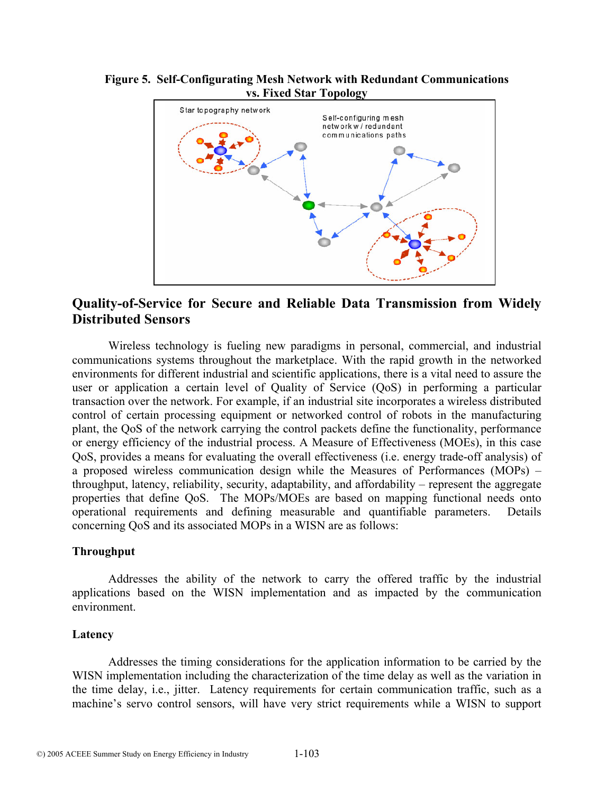#### **Figure 5. Self-Configurating Mesh Network with Redundant Communications vs. Fixed Star Topology**



# **Quality-of-Service for Secure and Reliable Data Transmission from Widely Distributed Sensors**

Wireless technology is fueling new paradigms in personal, commercial, and industrial communications systems throughout the marketplace. With the rapid growth in the networked environments for different industrial and scientific applications, there is a vital need to assure the user or application a certain level of Quality of Service (QoS) in performing a particular transaction over the network. For example, if an industrial site incorporates a wireless distributed control of certain processing equipment or networked control of robots in the manufacturing plant, the QoS of the network carrying the control packets define the functionality, performance or energy efficiency of the industrial process. A Measure of Effectiveness (MOEs), in this case QoS, provides a means for evaluating the overall effectiveness (i.e. energy trade-off analysis) of a proposed wireless communication design while the Measures of Performances (MOPs) – throughput, latency, reliability, security, adaptability, and affordability – represent the aggregate properties that define QoS. The MOPs/MOEs are based on mapping functional needs onto operational requirements and defining measurable and quantifiable parameters. Details concerning QoS and its associated MOPs in a WISN are as follows:

#### **Throughput**

Addresses the ability of the network to carry the offered traffic by the industrial applications based on the WISN implementation and as impacted by the communication environment.

#### **Latency**

Addresses the timing considerations for the application information to be carried by the WISN implementation including the characterization of the time delay as well as the variation in the time delay, i.e., jitter. Latency requirements for certain communication traffic, such as a machine's servo control sensors, will have very strict requirements while a WISN to support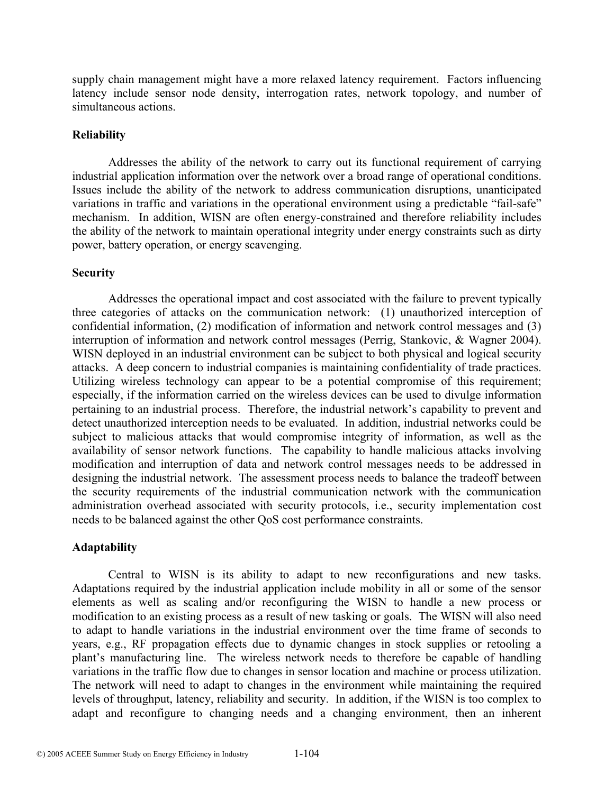supply chain management might have a more relaxed latency requirement. Factors influencing latency include sensor node density, interrogation rates, network topology, and number of simultaneous actions.

#### **Reliability**

Addresses the ability of the network to carry out its functional requirement of carrying industrial application information over the network over a broad range of operational conditions. Issues include the ability of the network to address communication disruptions, unanticipated variations in traffic and variations in the operational environment using a predictable "fail-safe" mechanism. In addition, WISN are often energy-constrained and therefore reliability includes the ability of the network to maintain operational integrity under energy constraints such as dirty power, battery operation, or energy scavenging.

#### **Security**

Addresses the operational impact and cost associated with the failure to prevent typically three categories of attacks on the communication network: (1) unauthorized interception of confidential information, (2) modification of information and network control messages and (3) interruption of information and network control messages (Perrig, Stankovic, & Wagner 2004). WISN deployed in an industrial environment can be subject to both physical and logical security attacks. A deep concern to industrial companies is maintaining confidentiality of trade practices. Utilizing wireless technology can appear to be a potential compromise of this requirement; especially, if the information carried on the wireless devices can be used to divulge information pertaining to an industrial process. Therefore, the industrial network's capability to prevent and detect unauthorized interception needs to be evaluated. In addition, industrial networks could be subject to malicious attacks that would compromise integrity of information, as well as the availability of sensor network functions. The capability to handle malicious attacks involving modification and interruption of data and network control messages needs to be addressed in designing the industrial network. The assessment process needs to balance the tradeoff between the security requirements of the industrial communication network with the communication administration overhead associated with security protocols, i.e., security implementation cost needs to be balanced against the other QoS cost performance constraints.

#### **Adaptability**

Central to WISN is its ability to adapt to new reconfigurations and new tasks. Adaptations required by the industrial application include mobility in all or some of the sensor elements as well as scaling and/or reconfiguring the WISN to handle a new process or modification to an existing process as a result of new tasking or goals. The WISN will also need to adapt to handle variations in the industrial environment over the time frame of seconds to years, e.g., RF propagation effects due to dynamic changes in stock supplies or retooling a plant's manufacturing line. The wireless network needs to therefore be capable of handling variations in the traffic flow due to changes in sensor location and machine or process utilization. The network will need to adapt to changes in the environment while maintaining the required levels of throughput, latency, reliability and security. In addition, if the WISN is too complex to adapt and reconfigure to changing needs and a changing environment, then an inherent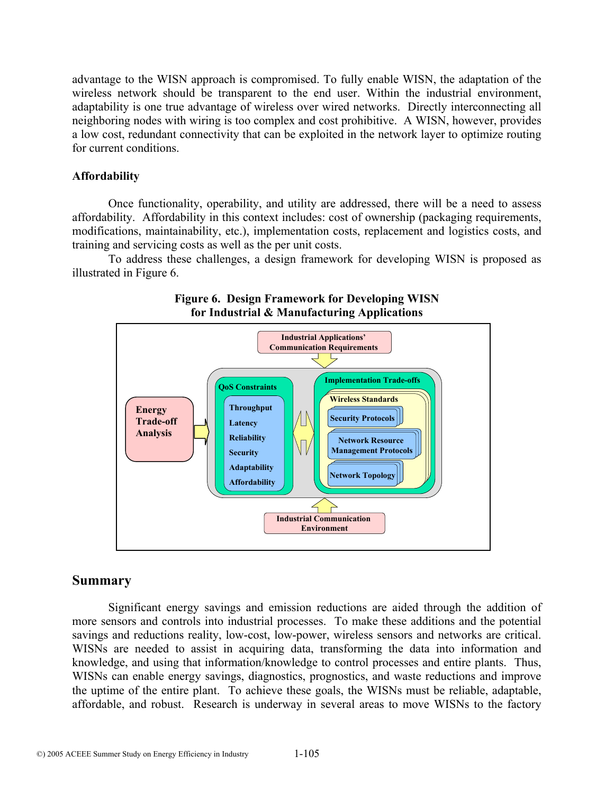advantage to the WISN approach is compromised. To fully enable WISN, the adaptation of the wireless network should be transparent to the end user. Within the industrial environment, adaptability is one true advantage of wireless over wired networks. Directly interconnecting all neighboring nodes with wiring is too complex and cost prohibitive. A WISN, however, provides a low cost, redundant connectivity that can be exploited in the network layer to optimize routing for current conditions.

#### **Affordability**

Once functionality, operability, and utility are addressed, there will be a need to assess affordability. Affordability in this context includes: cost of ownership (packaging requirements, modifications, maintainability, etc.), implementation costs, replacement and logistics costs, and training and servicing costs as well as the per unit costs.

To address these challenges, a design framework for developing WISN is proposed as illustrated in Figure 6.



### **Figure 6. Design Framework for Developing WISN for Industrial & Manufacturing Applications**

## **Summary**

Significant energy savings and emission reductions are aided through the addition of more sensors and controls into industrial processes. To make these additions and the potential savings and reductions reality, low-cost, low-power, wireless sensors and networks are critical. WISNs are needed to assist in acquiring data, transforming the data into information and knowledge, and using that information/knowledge to control processes and entire plants. Thus, WISNs can enable energy savings, diagnostics, prognostics, and waste reductions and improve the uptime of the entire plant. To achieve these goals, the WISNs must be reliable, adaptable, affordable, and robust. Research is underway in several areas to move WISNs to the factory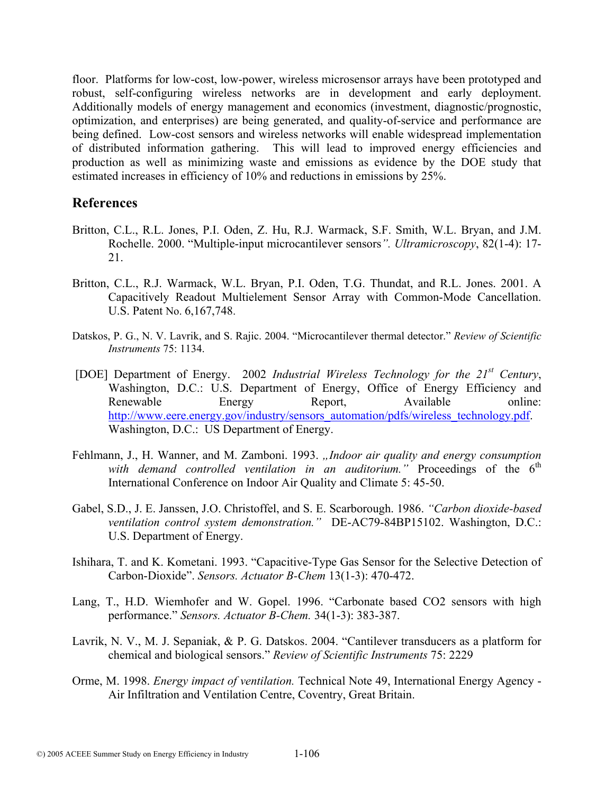floor. Platforms for low-cost, low-power, wireless microsensor arrays have been prototyped and robust, self-configuring wireless networks are in development and early deployment. Additionally models of energy management and economics (investment, diagnostic/prognostic, optimization, and enterprises) are being generated, and quality-of-service and performance are being defined. Low-cost sensors and wireless networks will enable widespread implementation of distributed information gathering. This will lead to improved energy efficiencies and production as well as minimizing waste and emissions as evidence by the DOE study that estimated increases in efficiency of 10% and reductions in emissions by 25%.

## **References**

- Britton, C.L., R.L. Jones, P.I. Oden, Z. Hu, R.J. Warmack, S.F. Smith, W.L. Bryan, and J.M. Rochelle. 2000. "Multiple-input microcantilever sensors*". Ultramicroscopy*, 82(1-4): 17- 21.
- Britton, C.L., R.J. Warmack, W.L. Bryan, P.I. Oden, T.G. Thundat, and R.L. Jones. 2001. A Capacitively Readout Multielement Sensor Array with Common-Mode Cancellation. U.S. Patent No. 6,167,748.
- Datskos, P. G., N. V. Lavrik, and S. Rajic. 2004. "Microcantilever thermal detector." *Review of Scientific Instruments* 75: 1134.
- [DOE] Department of Energy. 2002 *Industrial Wireless Technology for the 21st Century*, Washington, D.C.: U.S. Department of Energy, Office of Energy Efficiency and Renewable Energy Report, Available online: http://www.eere.energy.gov/industry/sensors\_automation/pdfs/wireless\_technology.pdf. Washington, D.C.: US Department of Energy.
- Fehlmann, J., H. Wanner, and M. Zamboni. 1993. "Indoor air quality and energy consumption with demand controlled ventilation in an auditorium." Proceedings of the 6<sup>th</sup> International Conference on Indoor Air Quality and Climate 5: 45-50.
- Gabel, S.D., J. E. Janssen, J.O. Christoffel, and S. E. Scarborough. 1986. *"Carbon dioxide-based ventilation control system demonstration."* DE-AC79-84BP15102. Washington, D.C.: U.S. Department of Energy.
- Ishihara, T. and K. Kometani. 1993. "Capacitive-Type Gas Sensor for the Selective Detection of Carbon-Dioxide". *Sensors. Actuator B-Chem* 13(1-3): 470-472.
- Lang, T., H.D. Wiemhofer and W. Gopel. 1996. "Carbonate based CO2 sensors with high performance." *Sensors. Actuator B-Chem.* 34(1-3): 383-387.
- Lavrik, N. V., M. J. Sepaniak, & P. G. Datskos. 2004. "Cantilever transducers as a platform for chemical and biological sensors." *Review of Scientific Instruments* 75: 2229
- Orme, M. 1998. *Energy impact of ventilation.* Technical Note 49, International Energy Agency Air Infiltration and Ventilation Centre, Coventry, Great Britain.